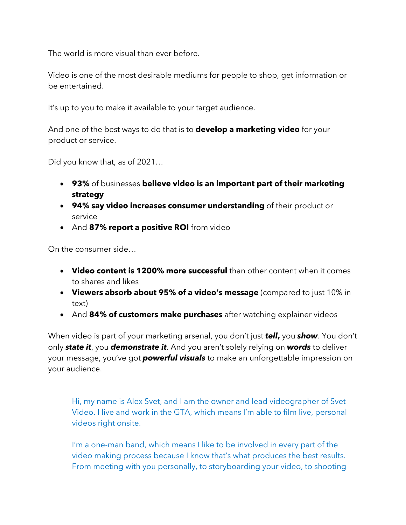The world is more visual than ever before.

Video is one of the most desirable mediums for people to shop, get information or be entertained.

It's up to you to make it available to your target audience.

And one of the best ways to do that is to **develop a marketing video** for your product or service.

Did you know that, as of 2021…

- **93%** of businesses **believe video is an important part of their marketing strategy**
- **94% say video increases consumer understanding** of their product or service
- And **87% report a positive ROI** from video

On the consumer side…

- **Video content is 1200% more successful** than other content when it comes to shares and likes
- **Viewers absorb about 95% of a video's message** (compared to just 10% in text)
- And **84% of customers make purchases** after watching explainer videos

When video is part of your marketing arsenal, you don't just *tell***,** you *show*. You don't only *state it*, you *demonstrate it*. And you aren't solely relying on *words* to deliver your message, you've got *powerful visuals* to make an unforgettable impression on your audience.

Hi, my name is Alex Svet, and I am the owner and lead videographer of Svet Video. I live and work in the GTA, which means I'm able to film live, personal videos right onsite.

I'm a one-man band, which means I like to be involved in every part of the video making process because I know that's what produces the best results. From meeting with you personally, to storyboarding your video, to shooting